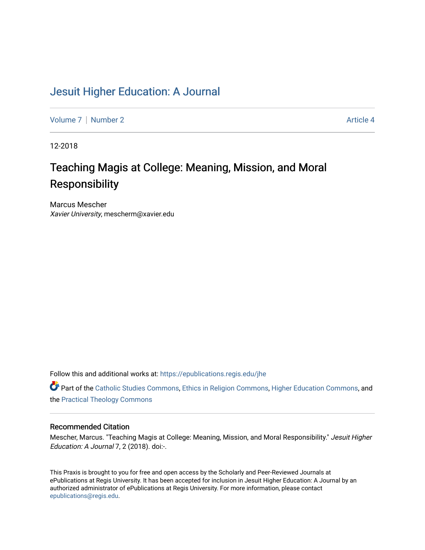## [Jesuit Higher Education: A Journal](https://epublications.regis.edu/jhe)

[Volume 7](https://epublications.regis.edu/jhe/vol7) | [Number 2](https://epublications.regis.edu/jhe/vol7/iss2) Article 4

12-2018

# Teaching Magis at College: Meaning, Mission, and Moral Responsibility

Marcus Mescher Xavier University, mescherm@xavier.edu

Follow this and additional works at: [https://epublications.regis.edu/jhe](https://epublications.regis.edu/jhe?utm_source=epublications.regis.edu%2Fjhe%2Fvol7%2Fiss2%2F4&utm_medium=PDF&utm_campaign=PDFCoverPages) 

Part of the [Catholic Studies Commons](http://network.bepress.com/hgg/discipline/1294?utm_source=epublications.regis.edu%2Fjhe%2Fvol7%2Fiss2%2F4&utm_medium=PDF&utm_campaign=PDFCoverPages), [Ethics in Religion Commons,](http://network.bepress.com/hgg/discipline/541?utm_source=epublications.regis.edu%2Fjhe%2Fvol7%2Fiss2%2F4&utm_medium=PDF&utm_campaign=PDFCoverPages) [Higher Education Commons](http://network.bepress.com/hgg/discipline/1245?utm_source=epublications.regis.edu%2Fjhe%2Fvol7%2Fiss2%2F4&utm_medium=PDF&utm_campaign=PDFCoverPages), and the [Practical Theology Commons](http://network.bepress.com/hgg/discipline/1186?utm_source=epublications.regis.edu%2Fjhe%2Fvol7%2Fiss2%2F4&utm_medium=PDF&utm_campaign=PDFCoverPages) 

#### Recommended Citation

Mescher, Marcus. "Teaching Magis at College: Meaning, Mission, and Moral Responsibility." Jesuit Higher Education: A Journal 7, 2 (2018). doi:-.

This Praxis is brought to you for free and open access by the Scholarly and Peer-Reviewed Journals at ePublications at Regis University. It has been accepted for inclusion in Jesuit Higher Education: A Journal by an authorized administrator of ePublications at Regis University. For more information, please contact [epublications@regis.edu.](mailto:epublications@regis.edu)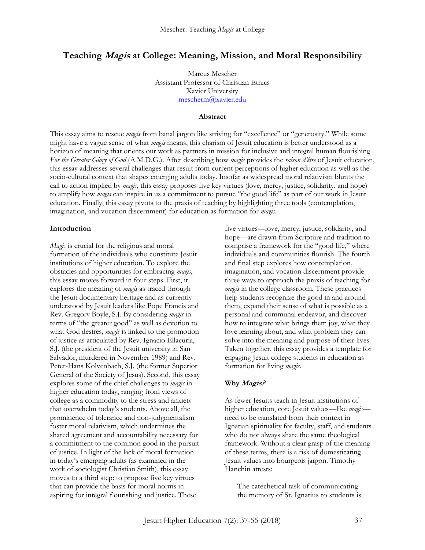## **Teaching Magis at College: Meaning, Mission, and Moral Responsibility**

Marcus Mescher Assistant Professor of Christian Ethics Xavier University [mescherm@xavier.edu](mailto:mescherm@xavier.edu)

#### **Abstract**

This essay aims to rescue *magis* from banal jargon like striving for "excellence" or "generosity." While some might have a vague sense of what *magis* means, this charism of Jesuit education is better understood as a horizon of meaning that orients our work as partners in mission for inclusive and integral human flourishing *For the Greater Glory of God* (A.M.D.G.). After describing how *magis* provides the *raison d'être* of Jesuit education, this essay addresses several challenges that result from current perceptions of higher education as well as the socio-cultural context that shapes emerging adults today. Insofar as widespread moral relativism blunts the call to action implied by *magis*, this essay proposes five key virtues (love, mercy, justice, solidarity, and hope) to amplify how *magis* can inspire in us a commitment to pursue "the good life" as part of our work in Jesuit education. Finally, this essay pivots to the praxis of teaching by highlighting three tools (contemplation, imagination, and vocation discernment) for education as formation for *magis*.

#### **Introduction**

*Magis* is crucial for the religious and moral formation of the individuals who constitute Jesuit institutions of higher education. To explore the obstacles and opportunities for embracing *magis*, this essay moves forward in four steps. First, it explores the meaning of *magis* as traced through the Jesuit documentary heritage and as currently understood by Jesuit leaders like Pope Francis and Rev. Gregory Boyle, S.J. By considering *magis* in terms of "the greater good" as well as devotion to what God desires, *magis* is linked to the promotion of justice as articulated by Rev. Ignacio Ellacuría, S.J. (the president of the Jesuit university in San Salvador, murdered in November 1989) and Rev. Peter-Hans Kolvenbach, S.J. (the former Superior General of the Society of Jesus). Second, this essay explores some of the chief challenges to *magis* in higher education today, ranging from views of college as a commodity to the stress and anxiety that overwhelm today's students. Above all, the prominence of tolerance and non-judgmentalism foster moral relativism, which undermines the shared agreement and accountability necessary for a commitment to the common good in the pursuit of justice. In light of the lack of moral formation in today's emerging adults (as examined in the work of sociologist Christian Smith), this essay moves to a third step: to propose five key virtues that can provide the basis for moral norms in aspiring for integral flourishing and justice. These

five virtues—love, mercy, justice, solidarity, and hope—are drawn from Scripture and tradition to comprise a framework for the "good life," where individuals and communities flourish. The fourth and final step explores how contemplation, imagination, and vocation discernment provide three ways to approach the praxis of teaching for *magis* in the college classroom. These practices help students recognize the good in and around them, expand their sense of what is possible as a personal and communal endeavor, and discover how to integrate what brings them joy, what they love learning about, and what problem they can solve into the meaning and purpose of their lives. Taken together, this essay provides a template for engaging Jesuit college students in education as formation for living *magis*.

#### **Why Magis?**

As fewer Jesuits teach in Jesuit institutions of higher education, core Jesuit values—like *magis* need to be translated from their context in Ignatian spirituality for faculty, staff, and students who do not always share the same theological framework. Without a clear grasp of the meaning of these terms, there is a risk of domesticating Jesuit values into bourgeois jargon. Timothy Hanchin attests:

The catechetical task of communicating the memory of St. Ignatius to students is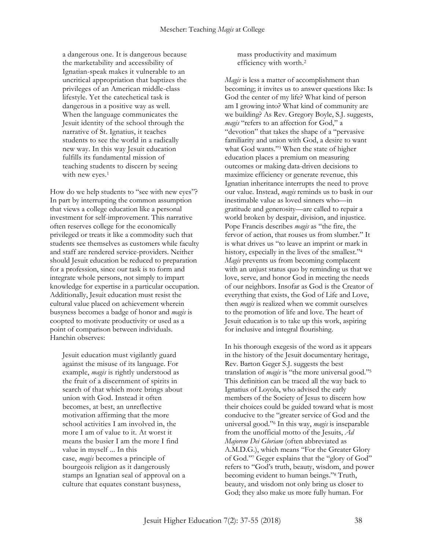a dangerous one. It is dangerous because the marketability and accessibility of Ignatian-speak makes it vulnerable to an uncritical appropriation that baptizes the privileges of an American middle-class lifestyle. Yet the catechetical task is dangerous in a positive way as well. When the language communicates the Jesuit identity of the school through the narrative of St. Ignatius, it teaches students to see the world in a radically new way. In this way Jesuit education fulfills its fundamental mission of teaching students to discern by seeing with new eyes.<sup>1</sup>

How do we help students to "see with new eyes"? In part by interrupting the common assumption that views a college education like a personal investment for self-improvement. This narrative often reserves college for the economically privileged or treats it like a commodity such that students see themselves as customers while faculty and staff are rendered service-providers. Neither should Jesuit education be reduced to preparation for a profession, since our task is to form and integrate whole persons, not simply to impart knowledge for expertise in a particular occupation. Additionally, Jesuit education must resist the cultural value placed on achievement wherein busyness becomes a badge of honor and *magis* is coopted to motivate productivity or used as a point of comparison between individuals. Hanchin observes:

Jesuit education must vigilantly guard against the misuse of its language. For example, *magis* is rightly understood as the fruit of a discernment of spirits in search of that which more brings about union with God. Instead it often becomes, at best, an unreflective motivation affirming that the more school activities I am involved in, the more I am of value to it. At worst it means the busier I am the more I find value in myself ... In this case, *magis* becomes a principle of bourgeois religion as it dangerously stamps an Ignatian seal of approval on a culture that equates constant busyness,

mass productivity and maximum efficiency with worth.<sup>2</sup>

*Magis* is less a matter of accomplishment than becoming; it invites us to answer questions like: Is God the center of my life? What kind of person am I growing into? What kind of community are we building? As Rev. Gregory Boyle, S.J. suggests, *magis* "refers to an affection for God," a "devotion" that takes the shape of a "pervasive familiarity and union with God, a desire to want what God wants." <sup>3</sup> When the state of higher education places a premium on measuring outcomes or making data-driven decisions to maximize efficiency or generate revenue, this Ignatian inheritance interrupts the need to prove our value. Instead, *magis* reminds us to bask in our inestimable value as loved sinners who—in gratitude and generosity—are called to repair a world broken by despair, division, and injustice. Pope Francis describes *magis* as "the fire, the fervor of action, that rouses us from slumber." It is what drives us "to leave an imprint or mark in history, especially in the lives of the smallest." 4 *Magis* prevents us from becoming complacent with an unjust status quo by reminding us that we love, serve, and honor God in meeting the needs of our neighbors. Insofar as God is the Creator of everything that exists, the God of Life and Love, then *magis* is realized when we commit ourselves to the promotion of life and love. The heart of Jesuit education is to take up this work, aspiring for inclusive and integral flourishing.

In his thorough exegesis of the word as it appears in the history of the Jesuit documentary heritage, Rev. Barton Geger S.J. suggests the best translation of *magis* is "the more universal good." 5 This definition can be traced all the way back to Ignatius of Loyola, who advised the early members of the Society of Jesus to discern how their choices could be guided toward what is most conducive to the "greater service of God and the universal good." <sup>6</sup> In this way, *magis* is inseparable from the unofficial motto of the Jesuits, *Ad Majorem Dei Gloriam* (often abbreviated as A.M.D.G.), which means "For the Greater Glory of God." <sup>7</sup> Geger explains that the "glory of God" refers to "God's truth, beauty, wisdom, and power becoming evident to human beings." <sup>8</sup> Truth, beauty, and wisdom not only bring us closer to God; they also make us more fully human. For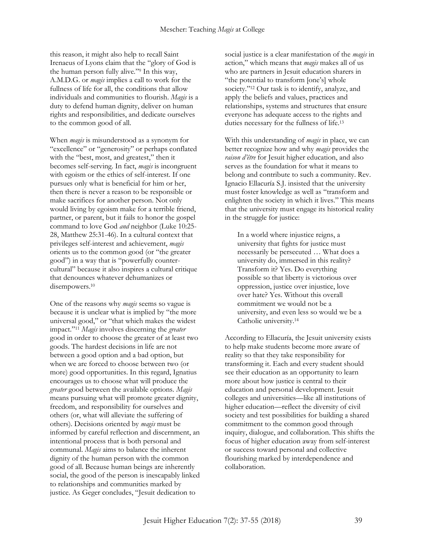this reason, it might also help to recall Saint Irenaeus of Lyons claim that the "glory of God is the human person fully alive." <sup>9</sup> In this way, A.M.D.G. or *magis* implies a call to work for the fullness of life for all, the conditions that allow individuals and communities to flourish. *Magis* is a duty to defend human dignity, deliver on human rights and responsibilities, and dedicate ourselves to the common good of all.

When *magis* is misunderstood as a synonym for "excellence" or "generosity" or perhaps conflated with the "best, most, and greatest," then it becomes self-serving. In fact, *magis* is incongruent with egoism or the ethics of self-interest. If one pursues only what is beneficial for him or her, then there is never a reason to be responsible or make sacrifices for another person. Not only would living by egoism make for a terrible friend, partner, or parent, but it fails to honor the gospel command to love God *and* neighbor (Luke 10:25- 28, Matthew 25:31-46). In a cultural context that privileges self-interest and achievement, *magis* orients us to the common good (or "the greater good") in a way that is "powerfully countercultural" because it also inspires a cultural critique that denounces whatever dehumanizes or disempowers.<sup>10</sup>

One of the reasons why *magis* seems so vague is because it is unclear what is implied by "the more universal good," or "that which makes the widest impact." <sup>11</sup> *Magis* involves discerning the *greater* good in order to choose the greater of at least two goods. The hardest decisions in life are not between a good option and a bad option, but when we are forced to choose between two (or more) good opportunities. In this regard, Ignatius encourages us to choose what will produce the *greater* good between the available options. *Magis* means pursuing what will promote greater dignity, freedom, and responsibility for ourselves and others (or, what will alleviate the suffering of others). Decisions oriented by *magis* must be informed by careful reflection and discernment, an intentional process that is both personal and communal. *Magis* aims to balance the inherent dignity of the human person with the common good of all. Because human beings are inherently social, the good of the person is inescapably linked to relationships and communities marked by justice. As Geger concludes, "Jesuit dedication to

social justice is a clear manifestation of the *magis* in action," which means that *magis* makes all of us who are partners in Jesuit education sharers in "the potential to transform [one's] whole society." <sup>12</sup> Our task is to identify, analyze, and apply the beliefs and values, practices and relationships, systems and structures that ensure everyone has adequate access to the rights and duties necessary for the fullness of life.<sup>13</sup>

With this understanding of *magis* in place, we can better recognize how and why *magis* provides the *raison d'être* for Jesuit higher education, and also serves as the foundation for what it means to belong and contribute to such a community. Rev. Ignacio Ellacuría S.J. insisted that the university must foster knowledge as well as "transform and enlighten the society in which it lives." This means that the university must engage its historical reality in the struggle for justice:

In a world where injustice reigns, a university that fights for justice must necessarily be persecuted … What does a university do, immersed in this reality? Transform it? Yes. Do everything possible so that liberty is victorious over oppression, justice over injustice, love over hate? Yes. Without this overall commitment we would not be a university, and even less so would we be a Catholic university.<sup>14</sup>

According to Ellacuría, the Jesuit university exists to help make students become more aware of reality so that they take responsibility for transforming it. Each and every student should see their education as an opportunity to learn more about how justice is central to their education and personal development. Jesuit colleges and universities—like all institutions of higher education—reflect the diversity of civil society and test possibilities for building a shared commitment to the common good through inquiry, dialogue, and collaboration. This shifts the focus of higher education away from self-interest or success toward personal and collective flourishing marked by interdependence and collaboration.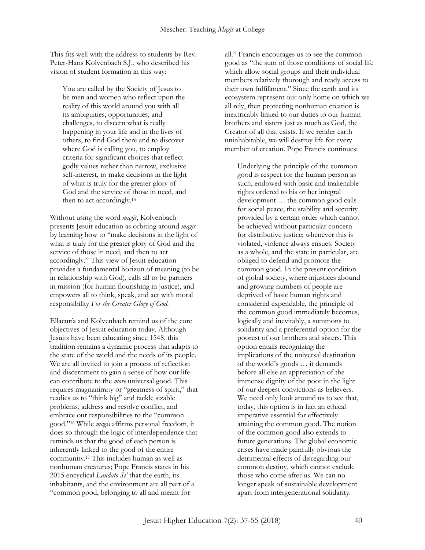This fits well with the address to students by Rev. Peter-Hans Kolvenbach S.J., who described his vision of student formation in this way:

You are called by the Society of Jesus to be men and women who reflect upon the reality of this world around you with all its ambiguities, opportunities, and challenges, to discern what is really happening in your life and in the lives of others, to find God there and to discover where God is calling you, to employ criteria for significant choices that reflect godly values rather than narrow, exclusive self-interest, to make decisions in the light of what is truly for the greater glory of God and the service of those in need, and then to act accordingly.<sup>15</sup>

Without using the word *magis*, Kolvenbach presents Jesuit education as orbiting around *magis* by learning how to "make decisions in the light of what is truly for the greater glory of God and the service of those in need, and then to act accordingly." This view of Jesuit education provides a fundamental horizon of meaning (to be in relationship with God), calls all to be partners in mission (for human flourishing in justice), and empowers all to think, speak, and act with moral responsibility *For the Greater Glory of God*.

Ellacuría and Kolvenbach remind us of the core objectives of Jesuit education today. Although Jesuits have been educating since 1548, this tradition remains a dynamic process that adapts to the state of the world and the needs of its people. We are all invited to join a process of reflection and discernment to gain a sense of how our life can contribute to the *more* universal good. This requires magnanimity or "greatness of spirit," that readies us to "think big" and tackle sizable problems, address and resolve conflict, and embrace our responsibilities to the "common good." <sup>16</sup> While *magis* affirms personal freedom, it does so through the logic of interdependence that reminds us that the good of each person is inherently linked to the good of the entire community.<sup>17</sup> This includes human as well as nonhuman creatures; Pope Francis states in his 2015 encyclical *Laudato Si'* that the earth, its inhabitants, and the environment are all part of a "common good, belonging to all and meant for

all." Francis encourages us to see the common good as "the sum of those conditions of social life which allow social groups and their individual members relatively thorough and ready access to their own fulfillment." Since the earth and its ecosystem represent our only home on which we all rely, then protecting nonhuman creation is inextricably linked to our duties to our human brothers and sisters just as much as God, the Creator of all that exists. If we render earth uninhabitable, we will destroy life for every member of creation. Pope Francis continues:

Underlying the principle of the common good is respect for the human person as such, endowed with basic and inalienable rights ordered to his or her integral development … the common good calls for social peace, the stability and security provided by a certain order which cannot be achieved without particular concern for distributive justice; whenever this is violated, violence always ensues. Society as a whole, and the state in particular, are obliged to defend and promote the common good. In the present condition of global society, where injustices abound and growing numbers of people are deprived of basic human rights and considered expendable, the principle of the common good immediately becomes, logically and inevitably, a summons to solidarity and a preferential option for the poorest of our brothers and sisters. This option entails recognizing the implications of the universal destination of the world's goods … it demands before all else an appreciation of the immense dignity of the poor in the light of our deepest convictions as believers. We need only look around us to see that, today, this option is in fact an ethical imperative essential for effectively attaining the common good. The notion of the common good also extends to future generations. The global economic crises have made painfully obvious the detrimental effects of disregarding our common destiny, which cannot exclude those who come after us. We can no longer speak of sustainable development apart from intergenerational solidarity.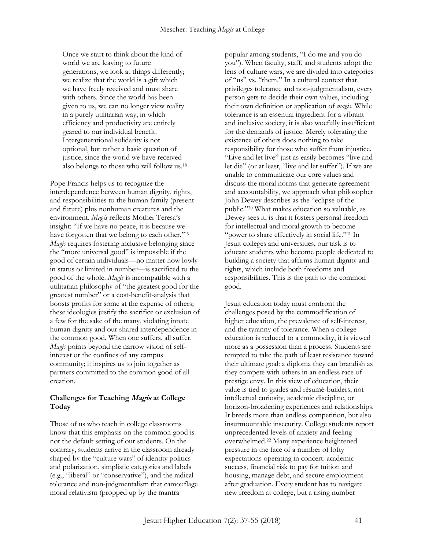Once we start to think about the kind of world we are leaving to future generations, we look at things differently; we realize that the world is a gift which we have freely received and must share with others. Since the world has been given to us, we can no longer view reality in a purely utilitarian way, in which efficiency and productivity are entirely geared to our individual benefit. Intergenerational solidarity is not optional, but rather a basic question of justice, since the world we have received also belongs to those who will follow us.<sup>18</sup>

Pope Francis helps us to recognize the interdependence between human dignity, rights, and responsibilities to the human family (present and future) plus nonhuman creatures and the environment. *Magis* reflects Mother Teresa's insight: "If we have no peace, it is because we have forgotten that we belong to each other."<sup>19</sup> *Magis* requires fostering inclusive belonging since the "more universal good" is impossible if the good of certain individuals—no matter how lowly in status or limited in number—is sacrificed to the good of the whole. *Magis* is incompatible with a utilitarian philosophy of "the greatest good for the greatest number" or a cost-benefit-analysis that boosts profits for some at the expense of others; these ideologies justify the sacrifice or exclusion of a few for the sake of the many, violating innate human dignity and our shared interdependence in the common good. When one suffers, all suffer. *Magis* points beyond the narrow vision of selfinterest or the confines of any campus community; it inspires us to join together as partners committed to the common good of all creation.

#### **Challenges for Teaching Magis at College Today**

Those of us who teach in college classrooms know that this emphasis on the common good is not the default setting of our students. On the contrary, students arrive in the classroom already shaped by the "culture wars" of identity politics and polarization, simplistic categories and labels (e.g., "liberal" or "conservative"), and the radical tolerance and non-judgmentalism that camouflage moral relativism (propped up by the mantra

popular among students, "I do me and you do you"). When faculty, staff, and students adopt the lens of culture wars, we are divided into categories of "us" vs. "them." In a cultural context that privileges tolerance and non-judgmentalism, every person gets to decide their own values, including their own definition or application of *magis*. While tolerance is an essential ingredient for a vibrant and inclusive society, it is also woefully insufficient for the demands of justice. Merely tolerating the existence of others does nothing to take responsibility for those who suffer from injustice. "Live and let live" just as easily becomes "live and let die" (or at least, "live and let suffer"). If we are unable to communicate our core values and discuss the moral norms that generate agreement and accountability, we approach what philosopher John Dewey describes as the "eclipse of the public." <sup>20</sup> What makes education so valuable, as Dewey sees it, is that it fosters personal freedom for intellectual and moral growth to become "power to share effectively in social life." <sup>21</sup> In Jesuit colleges and universities, our task is to educate students who become people dedicated to building a society that affirms human dignity and rights, which include both freedoms and responsibilities. This is the path to the common good.

Jesuit education today must confront the challenges posed by the commodification of higher education, the prevalence of self-interest, and the tyranny of tolerance. When a college education is reduced to a commodity, it is viewed more as a possession than a process. Students are tempted to take the path of least resistance toward their ultimate goal: a diploma they can brandish as they compete with others in an endless race of prestige envy. In this view of education, their value is tied to grades and résumé-builders, not intellectual curiosity, academic discipline, or horizon-broadening experiences and relationships. It breeds more than endless competition, but also insurmountable insecurity. College students report unprecedented levels of anxiety and feeling overwhelmed.<sup>22</sup> Many experience heightened pressure in the face of a number of lofty expectations operating in concert: academic success, financial risk to pay for tuition and housing, manage debt, and secure employment after graduation. Every student has to navigate new freedom at college, but a rising number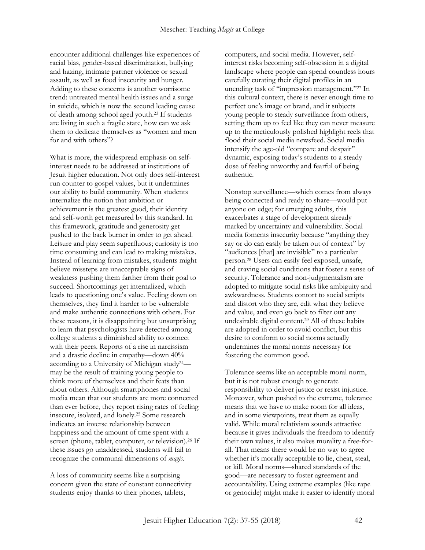encounter additional challenges like experiences of racial bias, gender-based discrimination, bullying and hazing, intimate partner violence or sexual assault, as well as food insecurity and hunger. Adding to these concerns is another worrisome trend: untreated mental health issues and a surge in suicide, which is now the second leading cause of death among school aged youth.<sup>23</sup> If students are living in such a fragile state, how can we ask them to dedicate themselves as "women and men for and with others"?

What is more, the widespread emphasis on selfinterest needs to be addressed at institutions of Jesuit higher education. Not only does self-interest run counter to gospel values, but it undermines our ability to build community. When students internalize the notion that ambition or achievement is the greatest good, their identity and self-worth get measured by this standard. In this framework, gratitude and generosity get pushed to the back burner in order to get ahead. Leisure and play seem superfluous; curiosity is too time consuming and can lead to making mistakes. Instead of learning from mistakes, students might believe missteps are unacceptable signs of weakness pushing them farther from their goal to succeed. Shortcomings get internalized, which leads to questioning one's value. Feeling down on themselves, they find it harder to be vulnerable and make authentic connections with others. For these reasons, it is disappointing but unsurprising to learn that psychologists have detected among college students a diminished ability to connect with their peers. Reports of a rise in narcissism and a drastic decline in empathy—down 40% according to a University of Michigan study24 may be the result of training young people to think more of themselves and their feats than about others. Although smartphones and social media mean that our students are more connected than ever before, they report rising rates of feeling insecure, isolated, and lonely.<sup>25</sup> Some research indicates an inverse relationship between happiness and the amount of time spent with a screen (phone, tablet, computer, or television).<sup>26</sup> If these issues go unaddressed, students will fail to recognize the communal dimensions of *magis*.

A loss of community seems like a surprising concern given the state of constant connectivity students enjoy thanks to their phones, tablets,

computers, and social media. However, selfinterest risks becoming self-obsession in a digital landscape where people can spend countless hours carefully curating their digital profiles in an unending task of "impression management." <sup>27</sup> In this cultural context, there is never enough time to perfect one's image or brand, and it subjects young people to steady surveillance from others, setting them up to feel like they can never measure up to the meticulously polished highlight reels that flood their social media newsfeed. Social media intensify the age-old "compare and despair" dynamic, exposing today's students to a steady dose of feeling unworthy and fearful of being authentic.

Nonstop surveillance—which comes from always being connected and ready to share—would put anyone on edge; for emerging adults, this exacerbates a stage of development already marked by uncertainty and vulnerability. Social media foments insecurity because "anything they say or do can easily be taken out of context" by "audiences [that] are invisible" to a particular person.<sup>28</sup> Users can easily feel exposed, unsafe, and craving social conditions that foster a sense of security. Tolerance and non-judgmentalism are adopted to mitigate social risks like ambiguity and awkwardness. Students contort to social scripts and distort who they are, edit what they believe and value, and even go back to filter out any undesirable digital content.<sup>29</sup> All of these habits are adopted in order to avoid conflict, but this desire to conform to social norms actually undermines the moral norms necessary for fostering the common good.

Tolerance seems like an acceptable moral norm, but it is not robust enough to generate responsibility to deliver justice or resist injustice. Moreover, when pushed to the extreme, tolerance means that we have to make room for all ideas, and in some viewpoints, treat them as equally valid. While moral relativism sounds attractive because it gives individuals the freedom to identify their own values, it also makes morality a free-forall. That means there would be no way to agree whether it's morally acceptable to lie, cheat, steal, or kill. Moral norms—shared standards of the good—are necessary to foster agreement and accountability. Using extreme examples (like rape or genocide) might make it easier to identify moral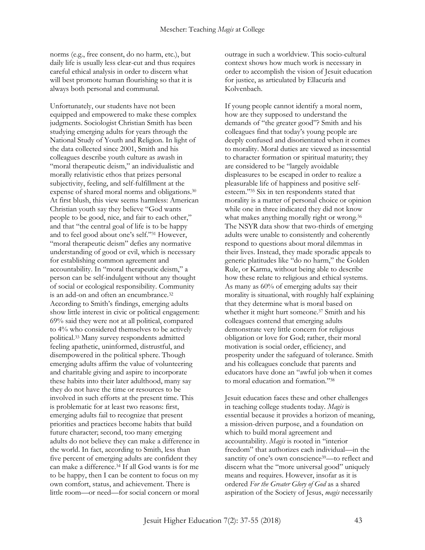norms (e.g., free consent, do no harm, etc.), but daily life is usually less clear-cut and thus requires careful ethical analysis in order to discern what will best promote human flourishing so that it is always both personal and communal.

Unfortunately, our students have not been equipped and empowered to make these complex judgments. Sociologist Christian Smith has been studying emerging adults for years through the National Study of Youth and Religion. In light of the data collected since 2001, Smith and his colleagues describe youth culture as awash in "moral therapeutic deism," an individualistic and morally relativistic ethos that prizes personal subjectivity, feeling, and self-fulfillment at the expense of shared moral norms and obligations.<sup>30</sup> At first blush, this view seems harmless: American Christian youth say they believe "God wants people to be good, nice, and fair to each other," and that "the central goal of life is to be happy and to feel good about one's self." <sup>31</sup> However, "moral therapeutic deism" defies any normative understanding of good or evil, which is necessary for establishing common agreement and accountability. In "moral therapeutic deism," a person can be self-indulgent without any thought of social or ecological responsibility. Community is an add-on and often an encumbrance.<sup>32</sup> According to Smith's findings, emerging adults show little interest in civic or political engagement: 69% said they were not at all political, compared to 4% who considered themselves to be actively political.<sup>33</sup> Many survey respondents admitted feeling apathetic, uninformed, distrustful, and disempowered in the political sphere. Though emerging adults affirm the value of volunteering and charitable giving and aspire to incorporate these habits into their later adulthood, many say they do not have the time or resources to be involved in such efforts at the present time. This is problematic for at least two reasons: first, emerging adults fail to recognize that present priorities and practices become habits that build future character; second, too many emerging adults do not believe they can make a difference in the world. In fact, according to Smith, less than five percent of emerging adults are confident they can make a difference.<sup>34</sup> If all God wants is for me to be happy, then I can be content to focus on my own comfort, status, and achievement. There is little room—or need—for social concern or moral

outrage in such a worldview. This socio-cultural context shows how much work is necessary in order to accomplish the vision of Jesuit education for justice, as articulated by Ellacuría and Kolvenbach.

If young people cannot identify a moral norm, how are they supposed to understand the demands of "the greater good"? Smith and his colleagues find that today's young people are deeply confused and disorientated when it comes to morality. Moral duties are viewed as inessential to character formation or spiritual maturity; they are considered to be "largely avoidable displeasures to be escaped in order to realize a pleasurable life of happiness and positive selfesteem." <sup>35</sup> Six in ten respondents stated that morality is a matter of personal choice or opinion while one in three indicated they did not know what makes anything morally right or wrong.<sup>36</sup> The NSYR data show that two-thirds of emerging adults were unable to consistently and coherently respond to questions about moral dilemmas in their lives. Instead, they made sporadic appeals to generic platitudes like "do no harm," the Golden Rule, or Karma, without being able to describe how these relate to religious and ethical systems. As many as 60% of emerging adults say their morality is situational, with roughly half explaining that they determine what is moral based on whether it might hurt someone.<sup>37</sup> Smith and his colleagues contend that emerging adults demonstrate very little concern for religious obligation or love for God; rather, their moral motivation is social order, efficiency, and prosperity under the safeguard of tolerance. Smith and his colleagues conclude that parents and educators have done an "awful job when it comes to moral education and formation." 38

Jesuit education faces these and other challenges in teaching college students today. *Magis* is essential because it provides a horizon of meaning, a mission-driven purpose, and a foundation on which to build moral agreement and accountability. *Magis* is rooted in "interior freedom" that authorizes each individual—in the sanctity of one's own conscience<sup>39</sup>—to reflect and discern what the "more universal good" uniquely means and requires. However, insofar as it is ordered *For the Greater Glory of God* as a shared aspiration of the Society of Jesus, *magis* necessarily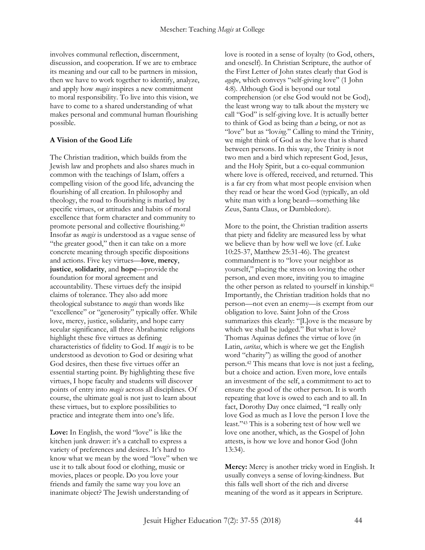involves communal reflection, discernment, discussion, and cooperation. If we are to embrace its meaning and our call to be partners in mission, then we have to work together to identify, analyze, and apply how *magis* inspires a new commitment to moral responsibility. To live into this vision, we have to come to a shared understanding of what makes personal and communal human flourishing possible.

## **A Vision of the Good Life**

The Christian tradition, which builds from the Jewish law and prophets and also shares much in common with the teachings of Islam, offers a compelling vision of the good life, advancing the flourishing of all creation. In philosophy and theology, the road to flourishing is marked by specific virtues, or attitudes and habits of moral excellence that form character and community to promote personal and collective flourishing.<sup>40</sup> Insofar as *magis* is understood as a vague sense of "the greater good," then it can take on a more concrete meaning through specific dispositions and actions. Five key virtues—**love**, **mercy**, **justice**, **solidarity**, and **hope**—provide the foundation for moral agreement and accountability. These virtues defy the insipid claims of tolerance. They also add more theological substance to *magis* than words like "excellence" or "generosity" typically offer. While love, mercy, justice, solidarity, and hope carry secular significance, all three Abrahamic religions highlight these five virtues as defining characteristics of fidelity to God. If *magis* is to be understood as devotion to God or desiring what God desires, then these five virtues offer an essential starting point. By highlighting these five virtues, I hope faculty and students will discover points of entry into *magis* across all disciplines. Of course, the ultimate goal is not just to learn about these virtues, but to explore possibilities to practice and integrate them into one's life.

Love: In English, the word "love" is like the kitchen junk drawer: it's a catchall to express a variety of preferences and desires. It's hard to know what we mean by the word "love" when we use it to talk about food or clothing, music or movies, places or people. Do you love your friends and family the same way you love an inanimate object? The Jewish understanding of

love is rooted in a sense of loyalty (to God, others, and oneself). In Christian Scripture, the author of the First Letter of John states clearly that God is *agape*, which conveys "self-giving love" (1 John 4:8). Although God is beyond our total comprehension (or else God would not be God), the least wrong way to talk about the mystery we call "God" is self-giving love. It is actually better to think of God as being than *a* being, or not as "love" but as "loving." Calling to mind the Trinity, we might think of God as the love that is shared between persons. In this way, the Trinity is not two men and a bird which represent God, Jesus, and the Holy Spirit, but a co-equal communion where love is offered, received, and returned. This is a far cry from what most people envision when they read or hear the word God (typically, an old white man with a long beard—something like Zeus, Santa Claus, or Dumbledore).

More to the point, the Christian tradition asserts that piety and fidelity are measured less by what we believe than by how well we love (cf. Luke 10:25-37, Matthew 25:31-46). The greatest commandment is to "love your neighbor as yourself," placing the stress on loving the other person, and even more, inviting you to imagine the other person as related to yourself in kinship.<sup>41</sup> Importantly, the Christian tradition holds that no person—not even an enemy—is exempt from our obligation to love. Saint John of the Cross summarizes this clearly: "[L]ove is the measure by which we shall be judged." But what is love? Thomas Aquinas defines the virtue of love (in Latin, *caritas*, which is where we get the English word "charity") as willing the good of another person.<sup>42</sup> This means that love is not just a feeling, but a choice and action. Even more, love entails an investment of the self, a commitment to act to ensure the good of the other person. It is worth repeating that love is owed to each and to all. In fact, Dorothy Day once claimed, "I really only love God as much as I love the person I love the least." <sup>43</sup> This is a sobering test of how well we love one another, which, as the Gospel of John attests, is how we love and honor God (John 13:34).

**Mercy:** Mercy is another tricky word in English. It usually conveys a sense of loving-kindness. But this falls well short of the rich and diverse meaning of the word as it appears in Scripture.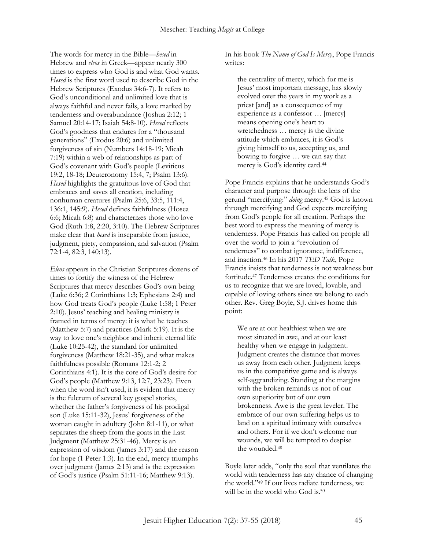The words for mercy in the Bible—*hesed* in Hebrew and *eleos* in Greek—appear nearly 300 times to express who God is and what God wants. *Hesed* is the first word used to describe God in the Hebrew Scriptures (Exodus 34:6-7). It refers to God's unconditional and unlimited love that is always faithful and never fails, a love marked by tenderness and overabundance (Joshua 2:12; 1 Samuel 20:14-17; Isaiah 54:8-10). *Hesed* reflects God's goodness that endures for a "thousand generations" (Exodus 20:6) and unlimited forgiveness of sin (Numbers 14:18-19; Micah 7:19) within a web of relationships as part of God's covenant with God's people (Leviticus 19:2, 18-18; Deuteronomy 15:4, 7; Psalm 13:6). *Hesed* highlights the gratuitous love of God that embraces and saves all creation, including nonhuman creatures (Psalm 25:6, 33:5, 111:4, 136:1, 145:9). *Hesed* defines faithfulness (Hosea 6:6; Micah 6:8) and characterizes those who love God (Ruth 1:8, 2:20, 3:10). The Hebrew Scriptures make clear that *hesed* is inseparable from justice, judgment, piety, compassion, and salvation (Psalm 72:1-4, 82:3, 140:13).

*Eleos* appears in the Christian Scriptures dozens of times to fortify the witness of the Hebrew Scriptures that mercy describes God's own being (Luke 6:36; 2 Corinthians 1:3; Ephesians 2:4) and how God treats God's people (Luke 1:58; 1 Peter 2:10). Jesus' teaching and healing ministry is framed in terms of mercy: it is what he teaches (Matthew 5:7) and practices (Mark 5:19). It is the way to love one's neighbor and inherit eternal life (Luke 10:25-42), the standard for unlimited forgiveness (Matthew 18:21-35), and what makes faithfulness possible (Romans 12:1-2; 2 Corinthians 4:1). It is the core of God's desire for God's people (Matthew 9:13, 12:7, 23:23). Even when the word isn't used, it is evident that mercy is the fulcrum of several key gospel stories, whether the father's forgiveness of his prodigal son (Luke 15:11-32), Jesus' forgiveness of the woman caught in adultery (John 8:1-11), or what separates the sheep from the goats in the Last Judgment (Matthew 25:31-46). Mercy is an expression of wisdom (James 3:17) and the reason for hope (1 Peter 1:3). In the end, mercy triumphs over judgment (James 2:13) and is the expression of God's justice (Psalm 51:11-16; Matthew 9:13).

In his book *The Name of God Is Mercy*, Pope Francis writes:

the centrality of mercy, which for me is Jesus' most important message, has slowly evolved over the years in my work as a priest [and] as a consequence of my experience as a confessor … [mercy] means opening one's heart to wretchedness … mercy is the divine attitude which embraces, it is God's giving himself to us, accepting us, and bowing to forgive … we can say that mercy is God's identity card.<sup>44</sup>

Pope Francis explains that he understands God's character and purpose through the lens of the gerund "mercifying:" *doing* mercy.<sup>45</sup> God is known through mercifying and God expects mercifying from God's people for all creation. Perhaps the best word to express the meaning of mercy is tenderness. Pope Francis has called on people all over the world to join a "revolution of tenderness" to combat ignorance, indifference, and inaction.<sup>46</sup> In his 2017 *TED Talk*, Pope Francis insists that tenderness is not weakness but fortitude.<sup>47</sup> Tenderness creates the conditions for us to recognize that we are loved, lovable, and capable of loving others since we belong to each other. Rev. Greg Boyle, S.J. drives home this point:

We are at our healthiest when we are most situated in awe, and at our least healthy when we engage in judgment. Judgment creates the distance that moves us away from each other. Judgment keeps us in the competitive game and is always self-aggrandizing. Standing at the margins with the broken reminds us not of our own superiority but of our own brokenness. Awe is the great leveler. The embrace of our own suffering helps us to land on a spiritual intimacy with ourselves and others. For if we don't welcome our wounds, we will be tempted to despise the wounded.<sup>48</sup>

Boyle later adds, "only the soul that ventilates the world with tenderness has any chance of changing the world." <sup>49</sup> If our lives radiate tenderness, we will be in the world who God is.<sup>50</sup>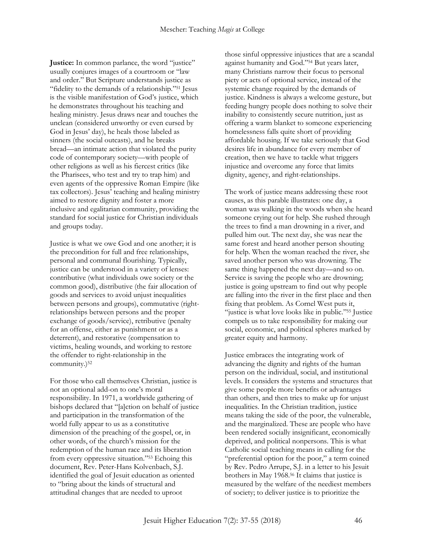**Justice:** In common parlance, the word "justice" usually conjures images of a courtroom or "law and order." But Scripture understands justice as "fidelity to the demands of a relationship." <sup>51</sup> Jesus is the visible manifestation of God's justice, which he demonstrates throughout his teaching and healing ministry. Jesus draws near and touches the unclean (considered unworthy or even cursed by God in Jesus' day), he heals those labeled as sinners (the social outcasts), and he breaks bread—an intimate action that violated the purity code of contemporary society—with people of other religions as well as his fiercest critics (like the Pharisees, who test and try to trap him) and even agents of the oppressive Roman Empire (like tax collectors). Jesus' teaching and healing ministry aimed to restore dignity and foster a more inclusive and egalitarian community, providing the standard for social justice for Christian individuals and groups today.

Justice is what we owe God and one another; it is the precondition for full and free relationships, personal and communal flourishing. Typically, justice can be understood in a variety of lenses: contributive (what individuals owe society or the common good), distributive (the fair allocation of goods and services to avoid unjust inequalities between persons and groups), commutative (rightrelationships between persons and the proper exchange of goods/service), retributive (penalty for an offense, either as punishment or as a deterrent), and restorative (compensation to victims, healing wounds, and working to restore the offender to right-relationship in the community.)<sup>52</sup>

For those who call themselves Christian, justice is not an optional add-on to one's moral responsibility. In 1971, a worldwide gathering of bishops declared that "[a]ction on behalf of justice and participation in the transformation of the world fully appear to us as a constitutive dimension of the preaching of the gospel, or, in other words, of the church's mission for the redemption of the human race and its liberation from every oppressive situation." <sup>53</sup> Echoing this document, Rev. Peter-Hans Kolvenbach, S.J. identified the goal of Jesuit education as oriented to "bring about the kinds of structural and attitudinal changes that are needed to uproot

those sinful oppressive injustices that are a scandal against humanity and God." <sup>54</sup> But years later, many Christians narrow their focus to personal piety or acts of optional service, instead of the systemic change required by the demands of justice. Kindness is always a welcome gesture, but feeding hungry people does nothing to solve their inability to consistently secure nutrition, just as offering a warm blanket to someone experiencing homelessness falls quite short of providing affordable housing. If we take seriously that God desires life in abundance for every member of creation, then we have to tackle what triggers injustice and overcome any force that limits dignity, agency, and right-relationships.

The work of justice means addressing these root causes, as this parable illustrates: one day, a woman was walking in the woods when she heard someone crying out for help. She rushed through the trees to find a man drowning in a river, and pulled him out. The next day, she was near the same forest and heard another person shouting for help. When the woman reached the river, she saved another person who was drowning. The same thing happened the next day—and so on. Service is saving the people who are drowning; justice is going upstream to find out why people are falling into the river in the first place and then fixing that problem. As Cornel West puts it, "justice is what love looks like in public." <sup>55</sup> Justice compels us to take responsibility for making our social, economic, and political spheres marked by greater equity and harmony.

Justice embraces the integrating work of advancing the dignity and rights of the human person on the individual, social, and institutional levels. It considers the systems and structures that give some people more benefits or advantages than others, and then tries to make up for unjust inequalities. In the Christian tradition, justice means taking the side of the poor, the vulnerable, and the marginalized. These are people who have been rendered socially insignificant, economically deprived, and political nonpersons. This is what Catholic social teaching means in calling for the "preferential option for the poor," a term coined by Rev. Pedro Arrupe, S.J. in a letter to his Jesuit brothers in May 1968.<sup>56</sup> It claims that justice is measured by the welfare of the neediest members of society; to deliver justice is to prioritize the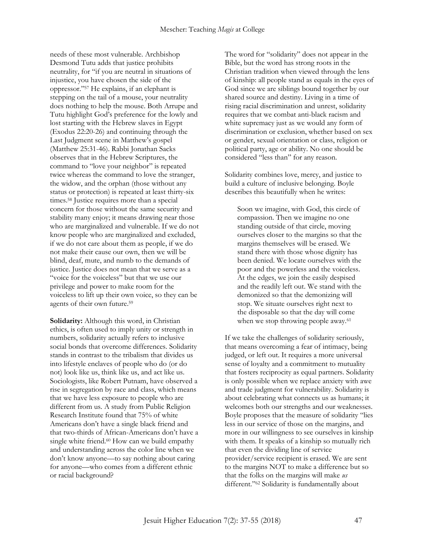needs of these most vulnerable. Archbishop Desmond Tutu adds that justice prohibits neutrality, for "if you are neutral in situations of injustice, you have chosen the side of the oppressor." <sup>57</sup> He explains, if an elephant is stepping on the tail of a mouse, your neutrality does nothing to help the mouse. Both Arrupe and Tutu highlight God's preference for the lowly and lost starting with the Hebrew slaves in Egypt (Exodus 22:20-26) and continuing through the Last Judgment scene in Matthew's gospel (Matthew 25:31-46). Rabbi Jonathan Sacks observes that in the Hebrew Scriptures, the command to "love your neighbor" is repeated twice whereas the command to love the stranger, the widow, and the orphan (those without any status or protection) is repeated at least thirty-six times.<sup>58</sup> Justice requires more than a special concern for those without the same security and stability many enjoy; it means drawing near those who are marginalized and vulnerable. If we do not know people who are marginalized and excluded, if we do not care about them as people, if we do not make their cause our own, then we will be blind, deaf, mute, and numb to the demands of justice. Justice does not mean that we serve as a "voice for the voiceless" but that we use our privilege and power to make room for the voiceless to lift up their own voice, so they can be agents of their own future.<sup>59</sup>

**Solidarity:** Although this word, in Christian ethics, is often used to imply unity or strength in numbers, solidarity actually refers to inclusive social bonds that overcome differences. Solidarity stands in contrast to the tribalism that divides us into lifestyle enclaves of people who do (or do not) look like us, think like us, and act like us. Sociologists, like Robert Putnam, have observed a rise in segregation by race and class, which means that we have less exposure to people who are different from us. A study from Public Religion Research Institute found that 75% of white Americans don't have a single black friend and that two-thirds of African-Americans don't have a single white friend.<sup>60</sup> How can we build empathy and understanding across the color line when we don't know anyone—to say nothing about caring for anyone—who comes from a different ethnic or racial background?

The word for "solidarity" does not appear in the Bible, but the word has strong roots in the Christian tradition when viewed through the lens of kinship: all people stand as equals in the eyes of God since we are siblings bound together by our shared source and destiny. Living in a time of rising racial discrimination and unrest, solidarity requires that we combat anti-black racism and white supremacy just as we would any form of discrimination or exclusion, whether based on sex or gender, sexual orientation or class, religion or political party, age or ability. No one should be considered "less than" for any reason.

Solidarity combines love, mercy, and justice to build a culture of inclusive belonging. Boyle describes this beautifully when he writes:

Soon we imagine, with God, this circle of compassion. Then we imagine no one standing outside of that circle, moving ourselves closer to the margins so that the margins themselves will be erased. We stand there with those whose dignity has been denied. We locate ourselves with the poor and the powerless and the voiceless. At the edges, we join the easily despised and the readily left out. We stand with the demonized so that the demonizing will stop. We situate ourselves right next to the disposable so that the day will come when we stop throwing people away.<sup>61</sup>

If we take the challenges of solidarity seriously, that means overcoming a fear of intimacy, being judged, or left out. It requires a more universal sense of loyalty and a commitment to mutuality that fosters reciprocity as equal partners. Solidarity is only possible when we replace anxiety with awe and trade judgment for vulnerability. Solidarity is about celebrating what connects us as humans; it welcomes both our strengths and our weaknesses. Boyle proposes that the measure of solidarity "lies less in our service of those on the margins, and more in our willingness to see ourselves in kinship with them. It speaks of a kinship so mutually rich that even the dividing line of service provider/service recipient is erased. We are sent to the margins NOT to make a difference but so that the folks on the margins will make *us* different." <sup>62</sup> Solidarity is fundamentally about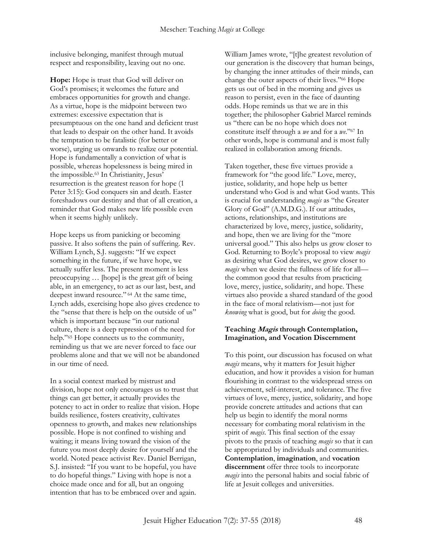inclusive belonging, manifest through mutual respect and responsibility, leaving out no one.

**Hope:** Hope is trust that God will deliver on God's promises; it welcomes the future and embraces opportunities for growth and change. As a virtue, hope is the midpoint between two extremes: excessive expectation that is presumptuous on the one hand and deficient trust that leads to despair on the other hand. It avoids the temptation to be fatalistic (for better or worse), urging us onwards to realize our potential. Hope is fundamentally a conviction of what is possible, whereas hopelessness is being mired in the impossible.<sup>63</sup> In Christianity, Jesus' resurrection is the greatest reason for hope (1 Peter 3:15): God conquers sin and death. Easter foreshadows our destiny and that of all creation, a reminder that God makes new life possible even when it seems highly unlikely.

Hope keeps us from panicking or becoming passive. It also softens the pain of suffering. Rev. William Lynch, S.J. suggests: "If we expect something in the future, if we have hope, we actually suffer less. The present moment is less preoccupying … [hope] is the great gift of being able, in an emergency, to act as our last, best, and deepest inward resource." <sup>64</sup> At the same time, Lynch adds, exercising hope also gives credence to the "sense that there is help on the outside of us" which is important because "in our national culture, there is a deep repression of the need for help." <sup>65</sup> Hope connects us to the community, reminding us that we are never forced to face our problems alone and that we will not be abandoned in our time of need.

In a social context marked by mistrust and division, hope not only encourages us to trust that things can get better, it actually provides the potency to act in order to realize that vision. Hope builds resilience, fosters creativity, cultivates openness to growth, and makes new relationships possible. Hope is not confined to wishing and waiting; it means living toward the vision of the future you most deeply desire for yourself and the world. Noted peace activist Rev. Daniel Berrigan, S.J. insisted: "If you want to be hopeful, you have to do hopeful things." Living with hope is not a choice made once and for all, but an ongoing intention that has to be embraced over and again.

William James wrote, "[t]he greatest revolution of our generation is the discovery that human beings, by changing the inner attitudes of their minds, can change the outer aspects of their lives." <sup>66</sup> Hope gets us out of bed in the morning and gives us reason to persist, even in the face of daunting odds. Hope reminds us that we are in this together; the philosopher Gabriel Marcel reminds us "there can be no hope which does not constitute itself through a *we* and for a *we*." <sup>67</sup> In other words, hope is communal and is most fully realized in collaboration among friends.

Taken together, these five virtues provide a framework for "the good life." Love, mercy, justice, solidarity, and hope help us better understand who God is and what God wants. This is crucial for understanding *magis* as "the Greater Glory of God" (A.M.D.G.). If our attitudes, actions, relationships, and institutions are characterized by love, mercy, justice, solidarity, and hope, then we are living for the "more universal good." This also helps us grow closer to God. Returning to Boyle's proposal to view *magis*  as desiring what God desires, we grow closer to *magis* when we desire the fullness of life for all the common good that results from practicing love, mercy, justice, solidarity, and hope. These virtues also provide a shared standard of the good in the face of moral relativism—not just for *knowing* what is good, but for *doing* the good.

## **Teaching Magis through Contemplation, Imagination, and Vocation Discernment**

To this point, our discussion has focused on what *magis* means, why it matters for Jesuit higher education, and how it provides a vision for human flourishing in contrast to the widespread stress on achievement, self-interest, and tolerance. The five virtues of love, mercy, justice, solidarity, and hope provide concrete attitudes and actions that can help us begin to identify the moral norms necessary for combating moral relativism in the spirit of *magis*. This final section of the essay pivots to the praxis of teaching *magis* so that it can be appropriated by individuals and communities. **Contemplation**, **imagination**, and **vocation discernment** offer three tools to incorporate *magis* into the personal habits and social fabric of life at Jesuit colleges and universities.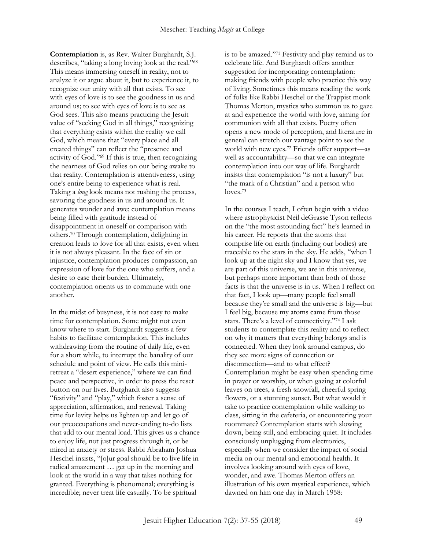**Contemplation** is, as Rev. Walter Burghardt, S.J. describes, "taking a long loving look at the real." 68 This means immersing oneself in reality, not to analyze it or argue about it, but to experience it, to recognize our unity with all that exists. To see with eyes of love is to see the goodness in us and around us; to see with eyes of love is to see as God sees. This also means practicing the Jesuit value of "seeking God in all things," recognizing that everything exists within the reality we call God, which means that "every place and all created things" can reflect the "presence and activity of God." <sup>69</sup> If this is true, then recognizing the nearness of God relies on our being awake to that reality. Contemplation is attentiveness, using one's entire being to experience what is real. Taking a *long* look means not rushing the process, savoring the goodness in us and around us. It generates wonder and awe; contemplation means being filled with gratitude instead of disappointment in oneself or comparison with others.<sup>70</sup> Through contemplation, delighting in creation leads to love for all that exists, even when it is not always pleasant. In the face of sin or injustice, contemplation produces compassion, an expression of love for the one who suffers, and a desire to ease their burden. Ultimately, contemplation orients us to commune with one another.

In the midst of busyness, it is not easy to make time for contemplation. Some might not even know where to start. Burghardt suggests a few habits to facilitate contemplation. This includes withdrawing from the routine of daily life, even for a short while, to interrupt the banality of our schedule and point of view. He calls this miniretreat a "desert experience," where we can find peace and perspective, in order to press the reset button on our lives. Burghardt also suggests "festivity" and "play," which foster a sense of appreciation, affirmation, and renewal. Taking time for levity helps us lighten up and let go of our preoccupations and never-ending to-do lists that add to our mental load. This gives us a chance to enjoy life, not just progress through it, or be mired in anxiety or stress. Rabbi Abraham Joshua Heschel insists, "[o]ur goal should be to live life in radical amazement … get up in the morning and look at the world in a way that takes nothing for granted. Everything is phenomenal; everything is incredible; never treat life casually. To be spiritual

is to be amazed." <sup>71</sup> Festivity and play remind us to celebrate life. And Burghardt offers another suggestion for incorporating contemplation: making friends with people who practice this way of living. Sometimes this means reading the work of folks like Rabbi Heschel or the Trappist monk Thomas Merton, mystics who summon us to gaze at and experience the world with love, aiming for communion with all that exists. Poetry often opens a new mode of perception, and literature in general can stretch our vantage point to see the world with new eyes.<sup>72</sup> Friends offer support—as well as accountability—so that we can integrate contemplation into our way of life. Burghardt insists that contemplation "is not a luxury" but "the mark of a Christian" and a person who loves.<sup>73</sup>

In the courses I teach, I often begin with a video where astrophysicist Neil deGrasse Tyson reflects on the "the most astounding fact" he's learned in his career. He reports that the atoms that comprise life on earth (including our bodies) are traceable to the stars in the sky. He adds, "when I look up at the night sky and I know that yes, we are part of this universe, we are in this universe, but perhaps more important than both of those facts is that the universe is in us. When I reflect on that fact, I look up—many people feel small because they're small and the universe is big—but I feel big, because my atoms came from those stars. There's a level of connectivity." <sup>74</sup> I ask students to contemplate this reality and to reflect on why it matters that everything belongs and is connected. When they look around campus, do they see more signs of connection or disconnection—and to what effect? Contemplation might be easy when spending time in prayer or worship, or when gazing at colorful leaves on trees, a fresh snowfall, cheerful spring flowers, or a stunning sunset. But what would it take to practice contemplation while walking to class, sitting in the cafeteria, or encountering your roommate? Contemplation starts with slowing down, being still, and embracing quiet. It includes consciously unplugging from electronics, especially when we consider the impact of social media on our mental and emotional health. It involves looking around with eyes of love, wonder, and awe. Thomas Merton offers an illustration of his own mystical experience, which dawned on him one day in March 1958: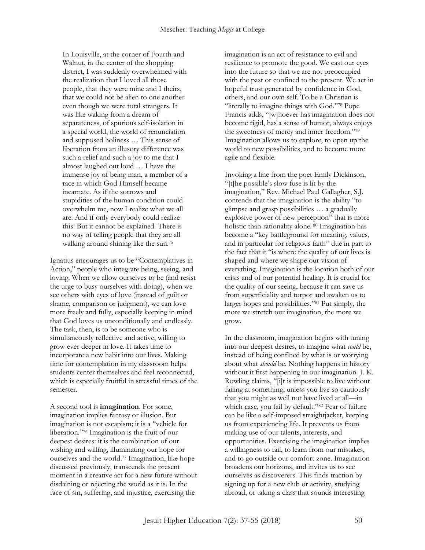In Louisville, at the corner of Fourth and Walnut, in the center of the shopping district, I was suddenly overwhelmed with the realization that I loved all those people, that they were mine and I theirs, that we could not be alien to one another even though we were total strangers. It was like waking from a dream of separateness, of spurious self-isolation in a special world, the world of renunciation and supposed holiness … This sense of liberation from an illusory difference was such a relief and such a joy to me that I almost laughed out loud … I have the immense joy of being man, a member of a race in which God Himself became incarnate. As if the sorrows and stupidities of the human condition could overwhelm me, now I realize what we all are. And if only everybody could realize this! But it cannot be explained. There is no way of telling people that they are all walking around shining like the sun.<sup>75</sup>

Ignatius encourages us to be "Contemplatives in Action," people who integrate being, seeing, and loving. When we allow ourselves to be (and resist the urge to busy ourselves with doing), when we see others with eyes of love (instead of guilt or shame, comparison or judgment), we can love more freely and fully, especially keeping in mind that God loves us unconditionally and endlessly. The task, then, is to be someone who is simultaneously reflective and active, willing to grow ever deeper in love. It takes time to incorporate a new habit into our lives. Making time for contemplation in my classroom helps students center themselves and feel reconnected, which is especially fruitful in stressful times of the semester.

A second tool is **imagination**. For some, imagination implies fantasy or illusion. But imagination is not escapism; it is a "vehicle for liberation." <sup>76</sup> Imagination is the fruit of our deepest desires: it is the combination of our wishing and willing, illuminating our hope for ourselves and the world.<sup>77</sup> Imagination, like hope discussed previously, transcends the present moment in a creative act for a new future without disdaining or rejecting the world as it is. In the face of sin, suffering, and injustice, exercising the

imagination is an act of resistance to evil and resilience to promote the good. We cast our eyes into the future so that we are not preoccupied with the past or confined to the present. We act in hopeful trust generated by confidence in God, others, and our own self. To be a Christian is "literally to imagine things with God." <sup>78</sup> Pope Francis adds, "[w]hoever has imagination does not become rigid, has a sense of humor, always enjoys the sweetness of mercy and inner freedom." 79 Imagination allows us to explore, to open up the world to new possibilities, and to become more agile and flexible.

Invoking a line from the poet Emily Dickinson, "[t]he possible's slow fuse is lit by the imagination," Rev. Michael Paul Gallagher, S.J. contends that the imagination is the ability "to glimpse and grasp possibilities … a gradually explosive power of new perception" that is more holistic than rationality alone. <sup>80</sup> Imagination has become a "key battleground for meaning, values, and in particular for religious faith" due in part to the fact that it "is where the quality of our lives is shaped and where we shape our vision of everything. Imagination is the location both of our crisis and of our potential healing. It is crucial for the quality of our seeing, because it can save us from superficiality and torpor and awaken us to larger hopes and possibilities." <sup>81</sup> Put simply, the more we stretch our imagination, the more we grow.

In the classroom, imagination begins with tuning into our deepest desires, to imagine what *could* be, instead of being confined by what is or worrying about what *should* be. Nothing happens in history without it first happening in our imagination. J. K. Rowling claims, "[i]t is impossible to live without failing at something, unless you live so cautiously that you might as well not have lived at all—in which case, you fail by default." <sup>82</sup> Fear of failure can be like a self-imposed straightjacket, keeping us from experiencing life. It prevents us from making use of our talents, interests, and opportunities. Exercising the imagination implies a willingness to fail, to learn from our mistakes, and to go outside our comfort zone. Imagination broadens our horizons, and invites us to see ourselves as discoverers. This finds traction by signing up for a new club or activity, studying abroad, or taking a class that sounds interesting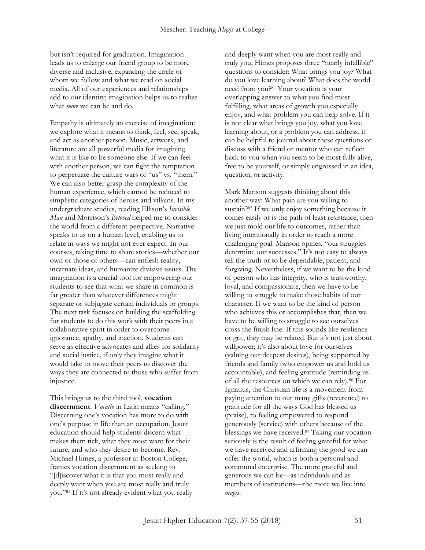but isn't required for graduation. Imagination leads us to enlarge our friend group to be more diverse and inclusive, expanding the circle of whom we follow and what we read on social media. All of our experiences and relationships add to our identity; imagination helps us to realize what *more* we can be and do.

Empathy is ultimately an exercise of imagination: we explore what it means to think, feel, see, speak, and act as another person. Music, artwork, and literature are all powerful media for imagining what it is like to be someone else. If we can feel with another person, we can fight the temptation to perpetuate the culture wars of "us" vs. "them." We can also better grasp the complexity of the human experience, which cannot be reduced to simplistic categories of heroes and villains. In my undergraduate studies, reading Ellison's *Invisible Man* and Morrison's *Beloved* helped me to consider the world from a different perspective. Narrative speaks to us on a human level, enabling us to relate in ways we might not ever expect. In our courses, taking time to share stories—whether our own or those of others—can enflesh reality, incarnate ideas, and humanize divisive issues. The imagination is a crucial tool for empowering our students to see that what we share in common is far greater than whatever differences might separate or subjugate certain individuals or groups. The next task focuses on building the scaffolding for students to do this work with their peers in a collaborative spirit in order to overcome ignorance, apathy, and inaction. Students can serve as effective advocates and allies for solidarity and social justice, if only they imagine what it would take to move their peers to discover the ways they are connected to those who suffer from injustice.

This brings us to the third tool, **vocation discernment**. *Vocatio* in Latin means "calling." Discerning one's vocation has more to do with one's purpose in life than an occupation. Jesuit education should help students discern what makes them tick, what they most want for their future, and who they desire to become. Rev. Michael Himes, a professor at Boston College, frames vocation discernment as seeking to "[d]iscover what it is that you most really and deeply want when you are most really and truly you." <sup>83</sup> If it's not already evident what you really and deeply want when you are most really and truly you, Himes proposes three "nearly infallible" questions to consider: What brings you joy? What do you love learning about? What does the world need from you?<sup>84</sup> Your vocation is your overlapping answer to what you find most fulfilling, what areas of growth you especially enjoy, and what problem you can help solve. If it is not clear what brings you joy, what you love learning about, or a problem you can address, it can be helpful to journal about these questions or discuss with a friend or mentor who can reflect back to you when you seem to be most fully alive, free to be yourself, or simply engrossed in an idea, question, or activity.

Mark Manson suggests thinking about this another way: What pain are you willing to sustain?<sup>85</sup> If we only enjoy something because it comes easily or is the path of least resistance, then we just mold our life to outcomes, rather than living intentionally in order to reach a more challenging goal. Manson opines, "our struggles determine our successes." It's not easy to always tell the truth or to be dependable, patient, and forgiving. Nevertheless, if we want to be the kind of person who has integrity, who is trustworthy, loyal, and compassionate, then we have to be willing to struggle to make those habits of our character. If we want to be the kind of person who achieves this or accomplishes that, then we have to be willing to struggle to see ourselves cross the finish line. If this sounds like resilience or grit, they may be related. But it's not just about willpower; it's also about love for ourselves (valuing our deepest desires), being supported by friends and family (who empower us and hold us accountable), and feeling gratitude (reminding us of all the resources on which we can rely).<sup>86</sup> For Ignatius, the Christian life is a movement from paying attention to our many gifts (reverence) to gratitude for all the ways God has blessed us (praise), to feeling empowered to respond generously (service) with others because of the blessings we have received.<sup>87</sup> Taking our vocation seriously is the result of feeling grateful for what we have received and affirming the good we can offer the world, which is both a personal and communal enterprise. The more grateful and generous we can be—as individuals and as members of institutions—the more we live into *magis*.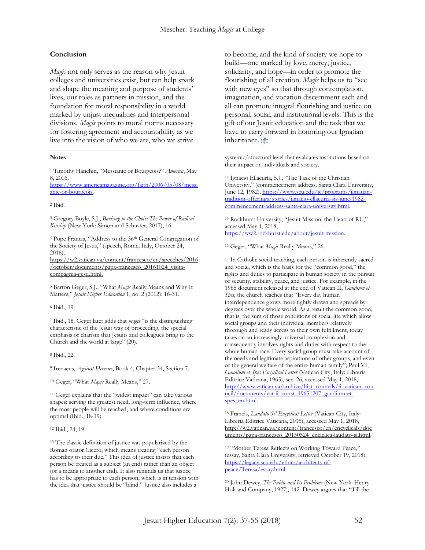#### **Conclusion**

*Magis* not only serves as the reason why Jesuit colleges and universities exist, but can help spark and shape the meaning and purpose of students' lives, our roles as partners in mission, and the foundation for moral responsibility in a world marked by unjust inequalities and interpersonal divisions. *Magis* points to moral norms necessary for fostering agreement and accountability as we live into the vision of who we are, who we strive

#### **Notes**

 $\overline{a}$ 

<sup>1</sup> Timothy Hanchin, "Messianic or Bourgeois?" *America*, May 8, 2006,

[https://www.americamagazine.org/faith/2006/05/08/messi](https://www.americamagazine.org/faith/2006/05/08/messianic-or-bourgeois) [anic-or-bourgeois.](https://www.americamagazine.org/faith/2006/05/08/messianic-or-bourgeois)

<sup>2</sup> Ibid.

<sup>3</sup> Gregory Boyle, S.J., *Barking to the Choir: The Power of Radical Kinship* (New York: Simon and Schuster, 2017), 16.

<sup>4</sup> Pope Francis, "Address to the 36th General Congregation of the Society of Jesus," (speech, Rome, Italy, October 24, 2016),

[https://w2.vatican.va/content/francesco/en/speeches/2016](https://w2.vatican.va/content/francesco/en/speeches/2016/october/documents/papa-francesco_20161024_visita-compagnia-gesu.html) [/october/documents/papa-francesco\\_20161024\\_visita](https://w2.vatican.va/content/francesco/en/speeches/2016/october/documents/papa-francesco_20161024_visita-compagnia-gesu.html)[compagnia-gesu.html.](https://w2.vatican.va/content/francesco/en/speeches/2016/october/documents/papa-francesco_20161024_visita-compagnia-gesu.html)

<sup>5</sup> Barton Geger, S.J., "What *Magis* Really Means and Why It Matters," *Jesuit Higher Education* 1, no. 2 (2012): 16-31.

<sup>6</sup> Ibid., 19.

<sup>7</sup> Ibid., 18. Geger later adds that *magis* "is the distinguishing characteristic of the Jesuit way of proceeding, the special emphasis or charism that Jesuits and colleagues bring to the Church and the world at large" (20).

<sup>8</sup> Ibid., 22.

<sup>9</sup> Irenaeus, *Against Heresies*, Book 4, Chapter 34, Section 7.

<sup>10</sup> Geger, "What *Magis* Really Means," 27.

<sup>11</sup> Geger explains that the "widest impact" can take various shapes: serving the greatest need, long-term influence, where the most people will be reached, and where conditions are optimal (Ibid., 18-19).

<sup>12</sup> Ibid., 24, 19.

<sup>13</sup> The classic definition of justice was popularized by the Roman orator Cicero, which means treating "each person according to their due." This idea of justice insists that each person be treated as a subject (an end) rather than an object (or a means to another end). It also reminds us that justice has to be appropriate to each person, which is in tension with the idea that justice should be "blind." Justice also includes a

to become, and the kind of society we hope to build—one marked by love, mercy, justice, solidarity, and hope—in order to promote the flourishing of all creation. *Magis* helps us to "see with new eyes" so that through contemplation, imagination, and vocation discernment each and all can promote integral flourishing and justice on personal, social, and institutional levels. This is the gift of our Jesuit education and the task that we have to carry forward in honoring our Ignatian inheritance. HE

systemic/structural level that evaluates institutions based on their impact on individuals and society.

<sup>14</sup> Ignacio Ellacuría, S.J., "The Task of the Christian University," (commencement address, Santa Clara University, June 12, 1982)[, https://www.scu.edu/ic/programs/ignatian](https://www.scu.edu/ic/programs/ignatian-tradition-offerings/stories/ignacio-ellacuria-sjs-june-1982-commencement-address-santa-clara-university.html)[tradition-offerings/stories/ignacio-ellacuria-sjs-june-1982](https://www.scu.edu/ic/programs/ignatian-tradition-offerings/stories/ignacio-ellacuria-sjs-june-1982-commencement-address-santa-clara-university.html) [commencement-address-santa-clara-university.html.](https://www.scu.edu/ic/programs/ignatian-tradition-offerings/stories/ignacio-ellacuria-sjs-june-1982-commencement-address-santa-clara-university.html) 

<sup>15</sup> Rockhurst University, "Jesuit Mission, the Heart of RU," accessed May 1, 2018, [https://ww2.rockhurst.edu/about/jesuit-mission.](https://ww2.rockhurst.edu/about/jesuit-mission) 

<sup>16</sup> Geger, "What *Magis* Really Means," 26.

<sup>17</sup> In Catholic social teaching, each person is inherently sacred and social, which is the basis for the "common good," the rights and duties to participate in human society in the pursuit of security, stability, peace, and justice. For example, in the 1965 document released at the end of Vatican II, *Gaudium et Spes*, the church teaches that "Every day human interdependence grows more tightly drawn and spreads by degrees over the whole world. As a result the common good, that is, the sum of those conditions of social life which allow social groups and their individual members relatively thorough and ready access to their own fulfillment, today takes on an increasingly universal complexion and consequently involves rights and duties with respect to the whole human race. Every social group must take account of the needs and legitimate aspirations of other groups, and even of the general welfare of the entire human family"; Paul VI, *Gaudium et Spes Encyclical Letter* (Vatican City, Italy: Libreria Editrice Vaticana, 1965), sec. 26, accessed May 1, 2018, [http://www.vatican.va/archive/hist\\_councils/ii\\_vatican\\_cou](http://www.vatican.va/archive/hist_councils/ii_vatican_council/documents/vat-ii_const_19651207_gaudium-et-spes_en.html) [ncil/documents/vat-ii\\_const\\_19651207\\_gaudium-et](http://www.vatican.va/archive/hist_councils/ii_vatican_council/documents/vat-ii_const_19651207_gaudium-et-spes_en.html)[spes\\_en.html.](http://www.vatican.va/archive/hist_councils/ii_vatican_council/documents/vat-ii_const_19651207_gaudium-et-spes_en.html)

<sup>18</sup> Francis, *Laudato Si' Encyclical Letter* (Vatican City, Italy: Libreria Editrice Vaticana, 2015), accessed May 1, 2018, [http://w2.vatican.va/content/francesco/en/encyclicals/doc](http://w2.vatican.va/content/francesco/en/encyclicals/documents/papa-francesco_20150524_enciclica-laudato-si.html) [uments/papa-francesco\\_20150524\\_enciclica-laudato-si.html.](http://w2.vatican.va/content/francesco/en/encyclicals/documents/papa-francesco_20150524_enciclica-laudato-si.html) 

<sup>19</sup> "Mother Teresa Reflects on Working Toward Peace," (essay, Santa Clara University, retrieved October 19, 2018), [https://legacy.scu.edu/ethics/architects-of](https://legacy.scu.edu/ethics/architects-of-peace/Teresa/essay.html)[peace/Teresa/essay.html.](https://legacy.scu.edu/ethics/architects-of-peace/Teresa/essay.html)

<sup>20</sup> John Dewey, *The Public and Its Problems* (New York: Henry Holt and Company, 1927), 142. Dewey argues that "Till the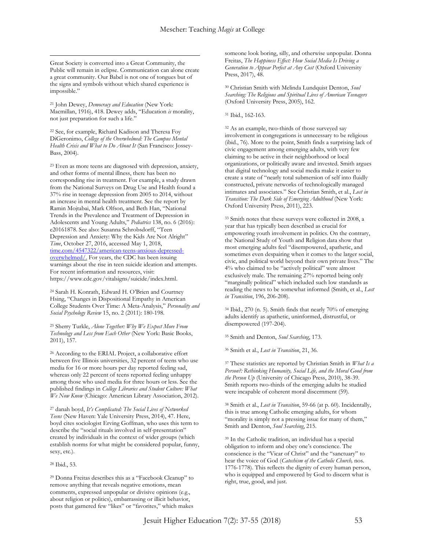Great Society is converted into a Great Community, the Public will remain in eclipse. Communication can alone create a great community. Our Babel is not one of tongues but of the signs and symbols without which shared experience is impossible."

 $\overline{a}$ 

<sup>21</sup> John Dewey, *Democracy and Education* (New York: Macmillan, 1916), 418. Dewey adds, "Education *is* morality, not just preparation for such a life."

<sup>22</sup> See, for example, Richard Kadison and Theresa Foy DiGeronimo, *College of the Overwhelmed: The Campus Mental Health Crisis and What to Do About It* (San Francisco: Jossey-Bass, 2004).

<sup>23</sup> Even as more teens are diagnosed with depression, anxiety, and other forms of mental illness, there has been no corresponding rise in treatment. For example, a study drawn from the National Surveys on Drug Use and Health found a 37% rise in teenage depression from 2005 to 2014, without an increase in mental health treatment. See the report by Ramin Mojtabai, Mark Olfson, and Beth Han, "National Trends in the Prevalence and Treatment of Depression in Adolescents and Young Adults," *Pediatrics* 138, no. 6 (2016): e20161878. See also: Susanna Schrobsdorff, "Teen Depression and Anxiety: Why the Kids Are Not Alright" *Time*, October 27, 2016, accessed May 1, 2018, [time.com/4547322/american-teens-anxious-depressed](http://time.com/4547322/american-teens-anxious-depressed-overwhelmed/)[overwhelmed/.](http://time.com/4547322/american-teens-anxious-depressed-overwhelmed/) For years, the CDC has been issuing warnings about the rise in teen suicide ideation and attempts. For recent information and resources, visit: [https://www.cdc.gov/vitalsigns/suicide/index.html.](https://www.cdc.gov/vitalsigns/suicide/index.html)

<sup>24</sup> Sarah H. Konrath, Edward H. O'Brien and Courtney Hsing, "Changes in Dispositional Empathy in American College Students Over Time: A Meta-Analysis," *Personality and Social Psychology Review* 15, no. 2 (2011): 180-198.

<sup>25</sup> Sherry Turkle, *Alone Together: Why We Expect More From Technology and Less from Each Other* (New York: Basic Books, 2011), 157.

<sup>26</sup> According to the ERIAL Project, a collaborative effort between five Illinois universities, 32 percent of teens who use media for 16 or more hours per day reported feeling sad, whereas only 22 percent of teens reported feeling unhappy among those who used media for three hours or less. See the published findings in *College Libraries and Student Culture: What We Now Know* (Chicago: American Library Association, 2012).

<sup>27</sup> danah boyd, *It's Complicated: The Social Lives of Networked Teens* (New Haven: Yale University Press, 2014), 47. Here, boyd cites sociologist Erving Goffman, who uses this term to describe the "social rituals involved in self-presentation" created by individuals in the context of wider groups (which establish norms for what might be considered popular, funny, sexy, etc.).

#### <sup>28</sup> Ibid., 53.

<sup>29</sup> Donna Freitas describes this as a "Facebook Cleanup" to remove anything that reveals negative emotions, mean comments, expressed unpopular or divisive opinions (e.g., about religion or politics), embarrassing or illicit behavior, posts that garnered few "likes" or "favorites," which makes

someone look boring, silly, and otherwise unpopular. Donna Freitas, *The Happiness Effect: How Social Media Is Driving a Generation to Appear Perfect at Any Cost* (Oxford University Press, 2017), 48.

<sup>30</sup> Christian Smith with Melinda Lundquist Denton, *Soul Searching: The Religious and Spiritual Lives of American Teenagers* (Oxford University Press, 2005), 162.

#### <sup>31</sup> Ibid., 162-163.

<sup>32</sup> As an example, two-thirds of those surveyed say involvement in congregations is unnecessary to be religious (ibid., 76). More to the point, Smith finds a surprising lack of civic engagement among emerging adults, with very few claiming to be active in their neighborhood or local organizations, or politically aware and invested. Smith argues that digital technology and social media make it easier to create a state of "nearly total submersion of self into fluidly constructed, private networks of technologically managed intimates and associates." See Christian Smith, et al., *Lost in Transition: The Dark Side of Emerging Adulthood* (New York: Oxford University Press, 2011), 223.

<sup>33</sup> Smith notes that these surveys were collected in 2008, a year that has typically been described as crucial for empowering youth involvement in politics. On the contrary, the National Study of Youth and Religion data show that most emerging adults feel "disempowered, apathetic, and sometimes even despairing when it comes to the larger social, civic, and political world beyond their own private lives." The 4% who claimed to be "actively political" were almost exclusively male. The remaining 27% reported being only "marginally political" which included such low standards as reading the news to be somewhat informed (Smith, et al., *Lost in Transition*, 196, 206-208).

<sup>34</sup> Ibid., 270 (n. 5). Smith finds that nearly 70% of emerging adults identify as apathetic, uninformed, distrustful, or disempowered (197-204).

<sup>35</sup> Smith and Denton, *Soul Searching*, 173.

<sup>36</sup> Smith et al., *Lost in Transition*, 21, 36.

<sup>37</sup> These statistics are reported by Christian Smith in *What Is a Person?: Rethinking Humanity, Social Life, and the Moral Good from the Person Up* (University of Chicago Press, 2010), 38-39. Smith reports two-thirds of the emerging adults he studied were incapable of coherent moral discernment (59).

<sup>38</sup> Smith et al., *Lost in Transition*, 59-66 (at p. 60). Incidentally, this is true among Catholic emerging adults, for whom "morality is simply not a pressing issue for many of them," Smith and Denton, *Soul Searching*, 215.

<sup>39</sup> In the Catholic tradition, an individual has a special obligation to inform and obey one's conscience. The conscience is the "Vicar of Christ" and the "sanctuary" to hear the voice of God (*Catechism of the Catholic Church,* nos. 1776-1778). This reflects the dignity of every human person, who is equipped and empowered by God to discern what is right, true, good, and just.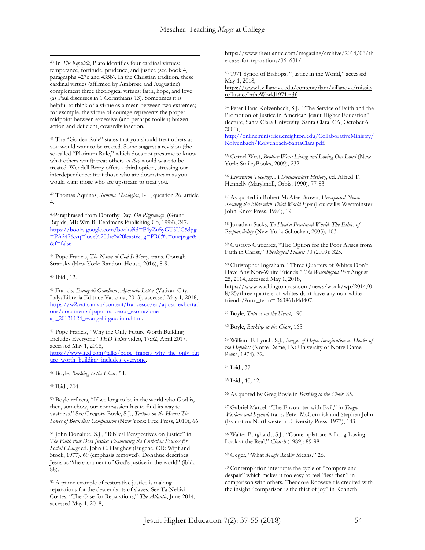$\overline{a}$ <sup>40</sup> In *The Republic*, Plato identifies four cardinal virtues: temperance, fortitude, prudence, and justice (see Book 4, paragraphs 427e and 435b). In the Christian tradition, these cardinal virtues (affirmed by Ambrose and Augustine) complement three theological virtues: faith, hope, and love (as Paul discusses in 1 Corinthians 13). Sometimes it is helpful to think of a virtue as a mean between two extremes; for example, the virtue of courage represents the proper midpoint between excessive (and perhaps foolish) brazen action and deficient, cowardly inaction.

<sup>41</sup> The "Golden Rule" states that you should treat others as you would want to be treated. Some suggest a revision (the so-called "Platinum Rule," which does not presume to know what others want): treat others as *they* would want to be treated. Wendell Berry offers a third option, stressing our interdependence: treat those who are downstream as you would want those who are upstream to treat you.

<sup>42</sup> Thomas Aquinas, *Summa Theologica*, I-II, question 26, article 4.

<sup>43</sup>Paraphrased from Dorothy Day, *On Pilgrimage*, (Grand Rapids, MI: Wm B. Eerdmans Publishing Co, 1999), 247. [https://books.google.com/books?id=F4yZu5yGT5UC&lpg](https://books.google.com/books?id=F4yZu5yGT5UC&lpg=PA247&vq=love%20the%20least&pg=PR6#v=onepage&q&f=false) [=PA247&vq=love%20the%20least&pg=PR6#v=onepage&q](https://books.google.com/books?id=F4yZu5yGT5UC&lpg=PA247&vq=love%20the%20least&pg=PR6#v=onepage&q&f=false) [&f=false](https://books.google.com/books?id=F4yZu5yGT5UC&lpg=PA247&vq=love%20the%20least&pg=PR6#v=onepage&q&f=false)

<sup>44</sup> Pope Francis, *The Name of God Is Mercy,* trans. Oonagh Stransky (New York: Random House, 2016), 8-9.

<sup>45</sup> Ibid., 12.

<sup>46</sup> Francis, *Evangelii Gaudium*, *Apostolic Letter* (Vatican City, Italy: Libreria Editrice Vaticana, 2013), accessed May 1, 2018, [https://w2.vatican.va/content/francesco/en/apost\\_exhortati](https://w2.vatican.va/content/francesco/en/apost_exhortations/documents/papa-francesco_esortazione-ap_20131124_evangelii-gaudium.html) [ons/documents/papa-francesco\\_esortazione](https://w2.vatican.va/content/francesco/en/apost_exhortations/documents/papa-francesco_esortazione-ap_20131124_evangelii-gaudium.html)[ap\\_20131124\\_evangelii-gaudium.html.](https://w2.vatican.va/content/francesco/en/apost_exhortations/documents/papa-francesco_esortazione-ap_20131124_evangelii-gaudium.html)

<sup>47</sup> Pope Francis, "Why the Only Future Worth Building Includes Everyone" *TED Talks* video, 17:52, April 2017, accessed May 1, 2018, [https://www.ted.com/talks/pope\\_francis\\_why\\_the\\_only\\_fut](https://www.ted.com/talks/pope_francis_why_the_only_future_worth_building_includes_everyone) [ure\\_worth\\_building\\_includes\\_everyone.](https://www.ted.com/talks/pope_francis_why_the_only_future_worth_building_includes_everyone)

<sup>48</sup> Boyle, *Barking to the Choir*, 54.

<sup>49</sup> Ibid., 204.

<sup>50</sup> Boyle reflects, "If we long to be in the world who God is, then, somehow, our compassion has to find its way to vastness." See Gregory Boyle, S.J., *Tattoos on the Heart: The Power of Boundless Compassion* (New York: Free Press, 2010), 66.

<sup>51</sup> John Donahue, S.J., "Biblical Perspectives on Justice" in *The Faith that Does Justice: Examining the Christian Sources for Social Change* ed. John C. Haughey (Eugene, OR: Wipf and Stock, 1977), 69 (emphasis removed). Donahue describes Jesus as "the sacrament of God's justice in the world" (ibid., 88).

<sup>52</sup> A prime example of restorative justice is making reparations for the descendants of slaves. See Ta-Nehisi Coates, "The Case for Reparations," *The Atlantic*, June 2014, accessed May 1, 2018,

[https://www.theatlantic.com/magazine/archive/2014/06/th](https://www.theatlantic.com/magazine/archive/2014/06/the-case-for-reparations/361631/) [e-case-for-reparations/361631/.](https://www.theatlantic.com/magazine/archive/2014/06/the-case-for-reparations/361631/)

<sup>53</sup> 1971 Synod of Bishops, "Justice in the World," accessed May 1, 2018, [https://www1.villanova.edu/content/dam/villanova/missio](https://www1.villanova.edu/content/dam/villanova/mission/JusticeIntheWorld1971.pdf) [n/JusticeIntheWorld1971.pdf.](https://www1.villanova.edu/content/dam/villanova/mission/JusticeIntheWorld1971.pdf) 

<sup>54</sup> Peter-Hans Kolvenbach, S.J., "The Service of Faith and the Promotion of Justice in American Jesuit Higher Education" (lecture, Santa Clara University, Santa Clara, CA, October 6, 2000),

[http://onlineministries.creighton.edu/CollaborativeMinistry/](http://onlineministries.creighton.edu/CollaborativeMinistry/Kolvenbach/Kolvenbach-SantaClara.pdf) [Kolvenbach/Kolvenbach-SantaClara.pdf.](http://onlineministries.creighton.edu/CollaborativeMinistry/Kolvenbach/Kolvenbach-SantaClara.pdf)

<sup>55</sup> Cornel West, *Brother West: Living and Loving Out Loud* (New York: SmileyBooks, 2009), 232.

<sup>56</sup> *Liberation Theology: A Documentary History*, ed. Alfred T. Hennelly (Maryknoll, Orbis, 1990), 77-83.

<sup>57</sup> As quoted in Robert McAfee Brown, *Unexpected News: Reading the Bible with Third World Eyes* (Louisville: Westminster John Knox Press, 1984), 19.

<sup>58</sup> Jonathan Sacks, *To Heal a Fractured World: The Ethics of Responsibility* (New York: Schocken, 2005), 103.

<sup>59</sup> Gustavo Gutiérrez, "The Option for the Poor Arises from Faith in Christ," *Theological Studies* 70 (2009): 325.

<sup>60</sup> Christopher Ingraham, "Three Quarters of Whites Don't Have Any Non-White Friends," *The Washington Post* August 25, 2014, accessed May 1, 2018,

[https://www.washingtonpost.com/news/wonk/wp/2014/0](https://www.washingtonpost.com/news/wonk/wp/2014/08/25/three-quarters-of-whites-dont-have-any-non-white-friends/?utm_term=.363861d4d407) [8/25/three-quarters-of-whites-dont-have-any-non-white](https://www.washingtonpost.com/news/wonk/wp/2014/08/25/three-quarters-of-whites-dont-have-any-non-white-friends/?utm_term=.363861d4d407)[friends/?utm\\_term=.363861d4d407.](https://www.washingtonpost.com/news/wonk/wp/2014/08/25/three-quarters-of-whites-dont-have-any-non-white-friends/?utm_term=.363861d4d407)

<sup>61</sup> Boyle, *Tattoos on the Heart*, 190.

<sup>62</sup> Boyle, *Barking to the Choir*, 165.

<sup>63</sup> William F. Lynch, S.J., *Images of Hope: Imagination as Healer of the Hopeless* (Notre Dame, IN: University of Notre Dame Press, 1974), 32.

<sup>64</sup> Ibid., 37.

<sup>65</sup> Ibid., 40, 42.

<sup>66</sup> As quoted by Greg Boyle in *Barking to the Choir*, 85.

<sup>67</sup> Gabriel Marcel, "The Encounter with Evil," in *Tragic Wisdom and Beyond,* trans. Peter McCormick and Stephen Jolin (Evanston: Northwestern University Press, 1973), 143.

<sup>68</sup> Walter Burghardt, S.J., "Contemplation: A Long Loving Look at the Real," *Church* (1989): 89-98.

<sup>69</sup> Geger, "What *Magis* Really Means," 26.

<sup>70</sup> Contemplation interrupts the cycle of "compare and despair" which makes it too easy to feel "less than" in comparison with others. Theodore Roosevelt is credited with the insight "comparison is the thief of joy" in Kenneth